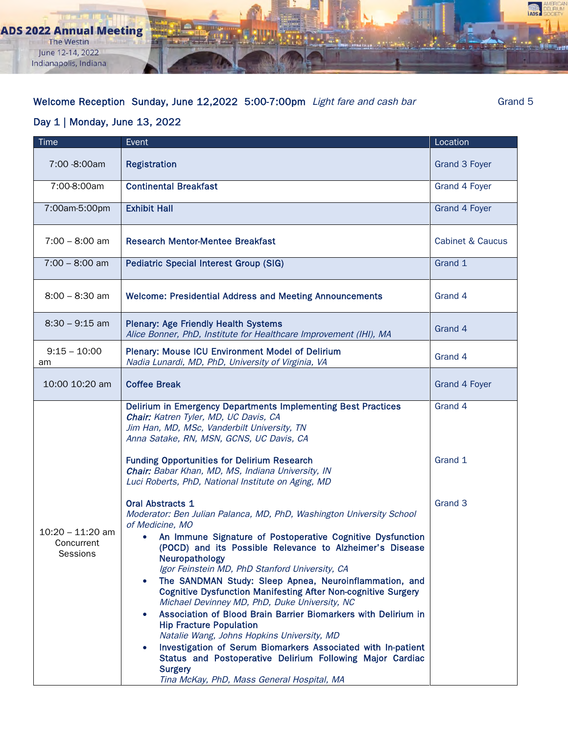**ADS 2022 Annual Meeting** The Westin June 12-14, 2022 Indianapolis, Indiana

## Welcome Reception Sunday, June 12,2022 5:00-7:00pm Light fare and cash bar Grand 5

ADS

## Day 1 | Monday, June 13, 2022

| Time                                         | Event                                                                                                                                                                                                                                                                                                                                                                                                                                                                                                                                                                                                                                                                                                                                                                                                                                                                                                  | Location                    |
|----------------------------------------------|--------------------------------------------------------------------------------------------------------------------------------------------------------------------------------------------------------------------------------------------------------------------------------------------------------------------------------------------------------------------------------------------------------------------------------------------------------------------------------------------------------------------------------------------------------------------------------------------------------------------------------------------------------------------------------------------------------------------------------------------------------------------------------------------------------------------------------------------------------------------------------------------------------|-----------------------------|
| 7:00 -8:00am                                 | <b>Registration</b>                                                                                                                                                                                                                                                                                                                                                                                                                                                                                                                                                                                                                                                                                                                                                                                                                                                                                    | Grand 3 Foyer               |
| 7:00-8:00am                                  | <b>Continental Breakfast</b>                                                                                                                                                                                                                                                                                                                                                                                                                                                                                                                                                                                                                                                                                                                                                                                                                                                                           | Grand 4 Foyer               |
| 7:00am-5:00pm                                | <b>Exhibit Hall</b>                                                                                                                                                                                                                                                                                                                                                                                                                                                                                                                                                                                                                                                                                                                                                                                                                                                                                    | Grand 4 Foyer               |
| $7:00 - 8:00$ am                             | <b>Research Mentor-Mentee Breakfast</b>                                                                                                                                                                                                                                                                                                                                                                                                                                                                                                                                                                                                                                                                                                                                                                                                                                                                | <b>Cabinet &amp; Caucus</b> |
| $7:00 - 8:00$ am                             | <b>Pediatric Special Interest Group (SIG)</b>                                                                                                                                                                                                                                                                                                                                                                                                                                                                                                                                                                                                                                                                                                                                                                                                                                                          | Grand 1                     |
| $8:00 - 8:30$ am                             | <b>Welcome: Presidential Address and Meeting Announcements</b>                                                                                                                                                                                                                                                                                                                                                                                                                                                                                                                                                                                                                                                                                                                                                                                                                                         | Grand 4                     |
| $8:30 - 9:15$ am                             | <b>Plenary: Age Friendly Health Systems</b><br>Alice Bonner, PhD, Institute for Healthcare Improvement (IHI), MA                                                                                                                                                                                                                                                                                                                                                                                                                                                                                                                                                                                                                                                                                                                                                                                       | Grand 4                     |
| $9:15 - 10:00$<br>am                         | <b>Plenary: Mouse ICU Environment Model of Delirium</b><br>Nadia Lunardi, MD, PhD, University of Virginia, VA                                                                                                                                                                                                                                                                                                                                                                                                                                                                                                                                                                                                                                                                                                                                                                                          | Grand 4                     |
| 10:00 10:20 am                               | <b>Coffee Break</b>                                                                                                                                                                                                                                                                                                                                                                                                                                                                                                                                                                                                                                                                                                                                                                                                                                                                                    | Grand 4 Foyer               |
|                                              | Delirium in Emergency Departments Implementing Best Practices<br>Chair: Katren Tyler, MD, UC Davis, CA<br>Jim Han, MD, MSc, Vanderbilt University, TN<br>Anna Satake, RN, MSN, GCNS, UC Davis, CA<br><b>Funding Opportunities for Delirium Research</b><br>Chair: Babar Khan, MD, MS, Indiana University, IN<br>Luci Roberts, PhD, National Institute on Aging, MD                                                                                                                                                                                                                                                                                                                                                                                                                                                                                                                                     | Grand 4<br>Grand 1          |
| $10:20 - 11:20$ am<br>Concurrent<br>Sessions | <b>Oral Abstracts 1</b><br>Moderator: Ben Julian Palanca, MD, PhD, Washington University School<br>of Medicine, MO<br>An Immune Signature of Postoperative Cognitive Dysfunction<br>$\bullet$<br>(POCD) and its Possible Relevance to Alzheimer's Disease<br>Neuropathology<br>Igor Feinstein MD, PhD Stanford University, CA<br>The SANDMAN Study: Sleep Apnea, Neuroinflammation, and<br>$\bullet$<br><b>Cognitive Dysfunction Manifesting After Non-cognitive Surgery</b><br>Michael Devinney MD, PhD, Duke University, NC<br>Association of Blood Brain Barrier Biomarkers with Delirium in<br>$\bullet$<br><b>Hip Fracture Population</b><br>Natalie Wang, Johns Hopkins University, MD<br>Investigation of Serum Biomarkers Associated with In-patient<br>$\bullet$<br>Status and Postoperative Delirium Following Major Cardiac<br><b>Surgery</b><br>Tina McKay, PhD, Mass General Hospital, MA | Grand 3                     |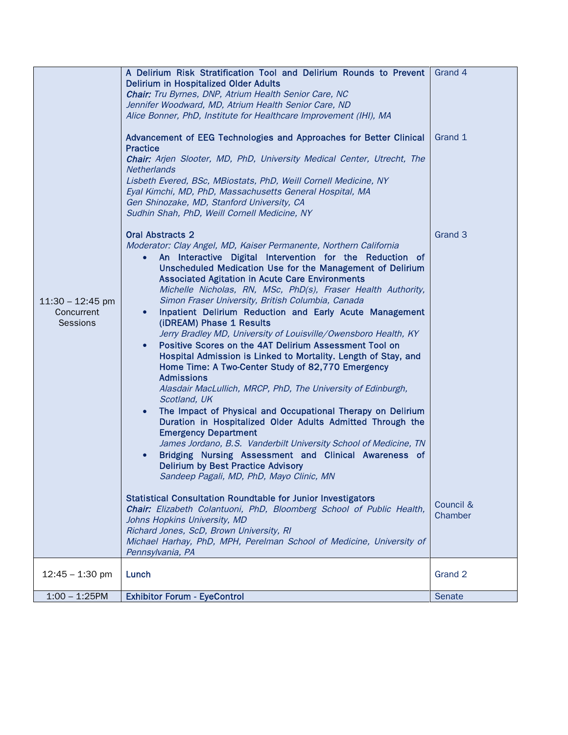|                                                     | A Delirium Risk Stratification Tool and Delirium Rounds to Prevent<br><b>Delirium in Hospitalized Older Adults</b><br><b>Chair:</b> Tru Byrnes, DNP, Atrium Health Senior Care, NC<br>Jennifer Woodward, MD, Atrium Health Senior Care, ND<br>Alice Bonner, PhD, Institute for Healthcare Improvement (IHI), MA<br>Advancement of EEG Technologies and Approaches for Better Clinical<br><b>Practice</b><br><b>Chair:</b> Arjen Slooter, MD, PhD, University Medical Center, Utrecht, The<br>Netherlands<br>Lisbeth Evered, BSc, MBiostats, PhD, Weill Cornell Medicine, NY<br>Eyal Kimchi, MD, PhD, Massachusetts General Hospital, MA<br>Gen Shinozake, MD, Stanford University, CA<br>Sudhin Shah, PhD, Weill Cornell Medicine, NY                                                                                                                                                                                                                                                                                                                                                                                                                                                                                                                                                                                                                                                                                                                                                                                                                                                                      | Grand 4<br>Grand 1              |
|-----------------------------------------------------|------------------------------------------------------------------------------------------------------------------------------------------------------------------------------------------------------------------------------------------------------------------------------------------------------------------------------------------------------------------------------------------------------------------------------------------------------------------------------------------------------------------------------------------------------------------------------------------------------------------------------------------------------------------------------------------------------------------------------------------------------------------------------------------------------------------------------------------------------------------------------------------------------------------------------------------------------------------------------------------------------------------------------------------------------------------------------------------------------------------------------------------------------------------------------------------------------------------------------------------------------------------------------------------------------------------------------------------------------------------------------------------------------------------------------------------------------------------------------------------------------------------------------------------------------------------------------------------------------------|---------------------------------|
| $11:30 - 12:45$ pm<br>Concurrent<br><b>Sessions</b> | <b>Oral Abstracts 2</b><br>Moderator: Clay Angel, MD, Kaiser Permanente, Northern California<br>An Interactive Digital Intervention for the Reduction of<br>$\bullet$<br>Unscheduled Medication Use for the Management of Delirium<br><b>Associated Agitation in Acute Care Environments</b><br>Michelle Nicholas, RN, MSc, PhD(s), Fraser Health Authority,<br>Simon Fraser University, British Columbia, Canada<br>Inpatient Delirium Reduction and Early Acute Management<br>$\bullet$<br>(iDREAM) Phase 1 Results<br>Jerry Bradley MD, University of Louisville/Owensboro Health, KY<br>Positive Scores on the 4AT Delirium Assessment Tool on<br>$\bullet$<br>Hospital Admission is Linked to Mortality. Length of Stay, and<br>Home Time: A Two-Center Study of 82,770 Emergency<br><b>Admissions</b><br>Alasdair MacLullich, MRCP, PhD, The University of Edinburgh,<br>Scotland, UK<br>The Impact of Physical and Occupational Therapy on Delirium<br>$\bullet$<br>Duration in Hospitalized Older Adults Admitted Through the<br><b>Emergency Department</b><br>James Jordano, B.S. Vanderbilt University School of Medicine, TN<br>Bridging Nursing Assessment and Clinical Awareness of<br>$\bullet$<br><b>Delirium by Best Practice Advisory</b><br>Sandeep Pagali, MD, PhD, Mayo Clinic, MN<br><b>Statistical Consultation Roundtable for Junior Investigators</b><br>Chair: Elizabeth Colantuoni, PhD, Bloomberg School of Public Health,<br>Johns Hopkins University, MD<br>Richard Jones, ScD, Brown University, RI<br>Michael Harhay, PhD, MPH, Perelman School of Medicine, University of | Grand 3<br>Council &<br>Chamber |
|                                                     | Pennsylvania, PA                                                                                                                                                                                                                                                                                                                                                                                                                                                                                                                                                                                                                                                                                                                                                                                                                                                                                                                                                                                                                                                                                                                                                                                                                                                                                                                                                                                                                                                                                                                                                                                           |                                 |
| $12:45 - 1:30$ pm                                   | Lunch                                                                                                                                                                                                                                                                                                                                                                                                                                                                                                                                                                                                                                                                                                                                                                                                                                                                                                                                                                                                                                                                                                                                                                                                                                                                                                                                                                                                                                                                                                                                                                                                      | Grand 2                         |
| $1:00 - 1:25$ PM                                    | <b>Exhibitor Forum - EyeControl</b>                                                                                                                                                                                                                                                                                                                                                                                                                                                                                                                                                                                                                                                                                                                                                                                                                                                                                                                                                                                                                                                                                                                                                                                                                                                                                                                                                                                                                                                                                                                                                                        | Senate                          |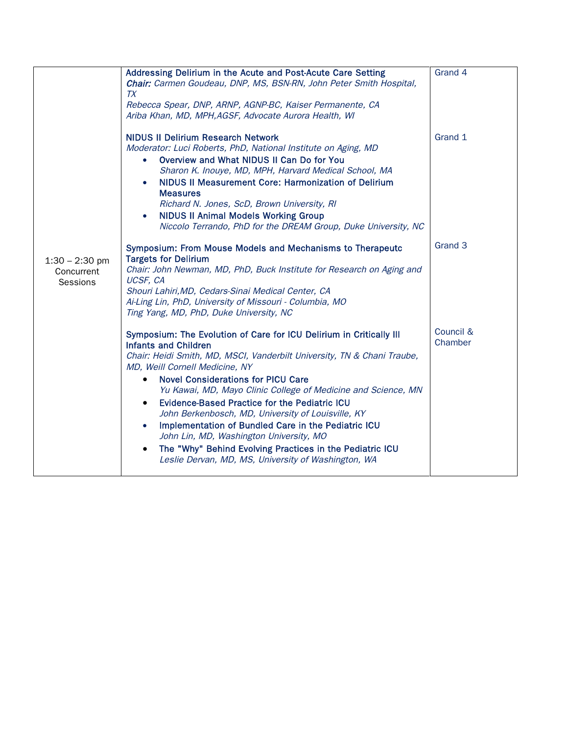|                                            | Addressing Delirium in the Acute and Post-Acute Care Setting<br>Chair: Carmen Goudeau, DNP, MS, BSN-RN, John Peter Smith Hospital,<br><b>TX</b><br>Rebecca Spear, DNP, ARNP, AGNP-BC, Kaiser Permanente, CA<br>Ariba Khan, MD, MPH, AGSF, Advocate Aurora Health, WI                                                                                                                                                                                                                                                                                                                                                                                                                            | Grand 4              |
|--------------------------------------------|-------------------------------------------------------------------------------------------------------------------------------------------------------------------------------------------------------------------------------------------------------------------------------------------------------------------------------------------------------------------------------------------------------------------------------------------------------------------------------------------------------------------------------------------------------------------------------------------------------------------------------------------------------------------------------------------------|----------------------|
|                                            | <b>NIDUS II Delirium Research Network</b><br>Moderator: Luci Roberts, PhD, National Institute on Aging, MD<br>Overview and What NIDUS II Can Do for You<br>Sharon K. Inouye, MD, MPH, Harvard Medical School, MA<br>NIDUS II Measurement Core: Harmonization of Delirium<br><b>Measures</b><br>Richard N. Jones, ScD, Brown University, RI<br><b>NIDUS II Animal Models Working Group</b><br>Niccolo Terrando, PhD for the DREAM Group, Duke University, NC                                                                                                                                                                                                                                     | Grand 1              |
| $1:30 - 2:30$ pm<br>Concurrent<br>Sessions | Symposium: From Mouse Models and Mechanisms to Therapeutc<br><b>Targets for Delirium</b><br>Chair: John Newman, MD, PhD, Buck Institute for Research on Aging and<br>UCSF, CA<br>Shouri Lahiri, MD, Cedars-Sinai Medical Center, CA<br>Ai-Ling Lin, PhD, University of Missouri - Columbia, MO<br>Ting Yang, MD, PhD, Duke University, NC                                                                                                                                                                                                                                                                                                                                                       | Grand 3              |
|                                            | Symposium: The Evolution of Care for ICU Delirium in Critically III<br><b>Infants and Children</b><br>Chair: Heidi Smith, MD, MSCI, Vanderbilt University, TN & Chani Traube,<br>MD, Weill Cornell Medicine, NY<br><b>Novel Considerations for PICU Care</b><br>$\bullet$<br>Yu Kawai, MD, Mayo Clinic College of Medicine and Science, MN<br><b>Evidence-Based Practice for the Pediatric ICU</b><br>$\bullet$<br>John Berkenbosch, MD, University of Louisville, KY<br>Implementation of Bundled Care in the Pediatric ICU<br>John Lin, MD, Washington University, MO<br>The "Why" Behind Evolving Practices in the Pediatric ICU<br>٠<br>Leslie Dervan, MD, MS, University of Washington, WA | Council &<br>Chamber |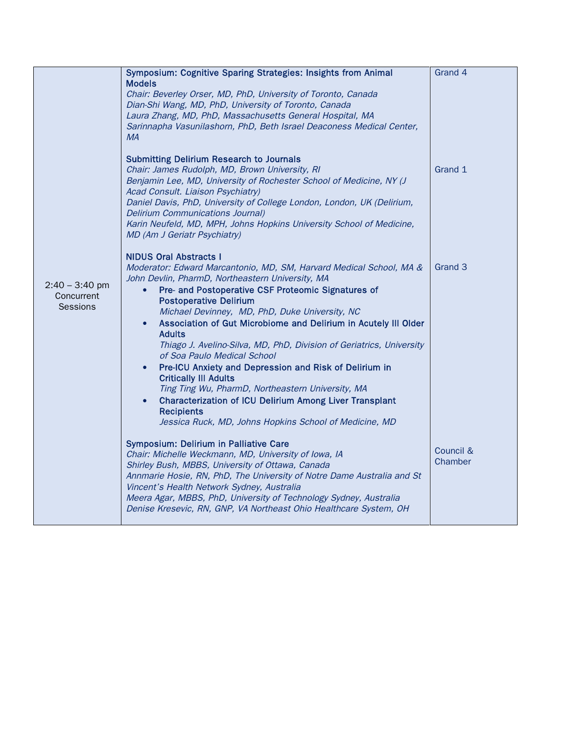|                                            | Symposium: Cognitive Sparing Strategies: Insights from Animal                                                                                                                                                                                                                                                                                                                                                                                                                                                                                                                                       | Grand 4              |
|--------------------------------------------|-----------------------------------------------------------------------------------------------------------------------------------------------------------------------------------------------------------------------------------------------------------------------------------------------------------------------------------------------------------------------------------------------------------------------------------------------------------------------------------------------------------------------------------------------------------------------------------------------------|----------------------|
|                                            | <b>Models</b><br>Chair: Beverley Orser, MD, PhD, University of Toronto, Canada<br>Dian-Shi Wang, MD, PhD, University of Toronto, Canada                                                                                                                                                                                                                                                                                                                                                                                                                                                             |                      |
| $2:40 - 3:40$ pm<br>Concurrent<br>Sessions | Laura Zhang, MD, PhD, Massachusetts General Hospital, MA<br>Sarinnapha Vasunilashorn, PhD, Beth Israel Deaconess Medical Center,<br>MA                                                                                                                                                                                                                                                                                                                                                                                                                                                              |                      |
|                                            | <b>Submitting Delirium Research to Journals</b><br>Chair: James Rudolph, MD, Brown University, RI<br>Benjamin Lee, MD, University of Rochester School of Medicine, NY (J<br>Acad Consult. Liaison Psychiatry)                                                                                                                                                                                                                                                                                                                                                                                       | Grand 1              |
|                                            | Daniel Davis, PhD, University of College London, London, UK (Delirium,<br><b>Delirium Communications Journal)</b><br>Karin Neufeld, MD, MPH, Johns Hopkins University School of Medicine,<br>MD (Am J Geriatr Psychiatry)                                                                                                                                                                                                                                                                                                                                                                           |                      |
|                                            | <b>NIDUS Oral Abstracts I</b><br>Moderator: Edward Marcantonio, MD, SM, Harvard Medical School, MA &<br>John Devlin, PharmD, Northeastern University, MA<br>Pre- and Postoperative CSF Proteomic Signatures of<br>$\bullet$<br><b>Postoperative Delirium</b><br>Michael Devinney, MD, PhD, Duke University, NC<br>Association of Gut Microbiome and Delirium in Acutely III Older<br><b>Adults</b><br>Thiago J. Avelino-Silva, MD, PhD, Division of Geriatrics, University<br>of Soa Paulo Medical School<br>Pre-ICU Anxiety and Depression and Risk of Delirium in<br><b>Critically III Adults</b> | Grand 3              |
|                                            | Ting Ting Wu, PharmD, Northeastern University, MA<br><b>Characterization of ICU Delirium Among Liver Transplant</b><br><b>Recipients</b><br>Jessica Ruck, MD, Johns Hopkins School of Medicine, MD                                                                                                                                                                                                                                                                                                                                                                                                  |                      |
|                                            | <b>Symposium: Delirium in Palliative Care</b><br>Chair: Michelle Weckmann, MD, University of Iowa, IA<br>Shirley Bush, MBBS, University of Ottawa, Canada<br>Annmarie Hosie, RN, PhD, The University of Notre Dame Australia and St<br>Vincent's Health Network Sydney, Australia<br>Meera Agar, MBBS, PhD, University of Technology Sydney, Australia<br>Denise Kresevic, RN, GNP, VA Northeast Ohio Healthcare System, OH                                                                                                                                                                         | Council &<br>Chamber |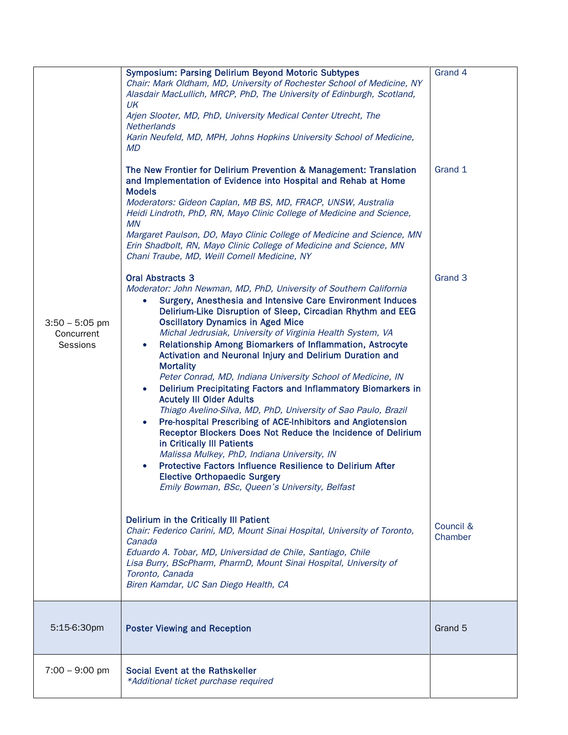|                                            | <b>Symposium: Parsing Delirium Beyond Motoric Subtypes</b><br>Chair: Mark Oldham, MD, University of Rochester School of Medicine, NY<br>Alasdair MacLullich, MRCP, PhD, The University of Edinburgh, Scotland,<br>UK<br>Arjen Slooter, MD, PhD, University Medical Center Utrecht, The<br>Netherlands<br>Karin Neufeld, MD, MPH, Johns Hopkins University School of Medicine,<br><b>MD</b><br>The New Frontier for Delirium Prevention & Management: Translation<br>and Implementation of Evidence into Hospital and Rehab at Home<br><b>Models</b><br>Moderators: Gideon Caplan, MB BS, MD, FRACP, UNSW, Australia<br>Heidi Lindroth, PhD, RN, Mayo Clinic College of Medicine and Science,<br><b>MN</b><br>Margaret Paulson, DO, Mayo Clinic College of Medicine and Science, MN<br>Erin Shadbolt, RN, Mayo Clinic College of Medicine and Science, MN                                                                                                                                                                                                                                                                                                                                                                                                                                                                                                                                                                                                                                                      | Grand 4<br>Grand 1              |
|--------------------------------------------|---------------------------------------------------------------------------------------------------------------------------------------------------------------------------------------------------------------------------------------------------------------------------------------------------------------------------------------------------------------------------------------------------------------------------------------------------------------------------------------------------------------------------------------------------------------------------------------------------------------------------------------------------------------------------------------------------------------------------------------------------------------------------------------------------------------------------------------------------------------------------------------------------------------------------------------------------------------------------------------------------------------------------------------------------------------------------------------------------------------------------------------------------------------------------------------------------------------------------------------------------------------------------------------------------------------------------------------------------------------------------------------------------------------------------------------------------------------------------------------------------------------|---------------------------------|
| $3:50 - 5:05$ pm<br>Concurrent<br>Sessions | Chani Traube, MD, Weill Cornell Medicine, NY<br><b>Oral Abstracts 3</b><br>Moderator: John Newman, MD, PhD, University of Southern California<br>Surgery, Anesthesia and Intensive Care Environment Induces<br>$\bullet$<br>Delirium-Like Disruption of Sleep, Circadian Rhythm and EEG<br><b>Oscillatory Dynamics in Aged Mice</b><br>Michal Jedrusiak, University of Virginia Health System, VA<br>Relationship Among Biomarkers of Inflammation, Astrocyte<br>$\bullet$<br>Activation and Neuronal Injury and Delirium Duration and<br><b>Mortality</b><br>Peter Conrad, MD, Indiana University School of Medicine, IN<br>Delirium Precipitating Factors and Inflammatory Biomarkers in<br>$\bullet$<br><b>Acutely III Older Adults</b><br>Thiago Avelino-Silva, MD, PhD, University of Sao Paulo, Brazil<br>Pre-hospital Prescribing of ACE-Inhibitors and Angiotension<br>Receptor Blockers Does Not Reduce the Incidence of Delirium<br>in Critically III Patients<br>Malissa Mulkey, PhD, Indiana University, IN<br>Protective Factors Influence Resilience to Delirium After<br><b>Elective Orthopaedic Surgery</b><br>Emily Bowman, BSc, Queen's University, Belfast<br>Delirium in the Critically III Patient<br>Chair: Federico Carini, MD, Mount Sinai Hospital, University of Toronto,<br>Canada<br>Eduardo A. Tobar, MD, Universidad de Chile, Santiago, Chile<br>Lisa Burry, BScPharm, PharmD, Mount Sinai Hospital, University of<br>Toronto, Canada<br>Biren Kamdar, UC San Diego Health, CA | Grand 3<br>Council &<br>Chamber |
| 5:15-6:30pm                                | <b>Poster Viewing and Reception</b>                                                                                                                                                                                                                                                                                                                                                                                                                                                                                                                                                                                                                                                                                                                                                                                                                                                                                                                                                                                                                                                                                                                                                                                                                                                                                                                                                                                                                                                                           | Grand 5                         |
|                                            |                                                                                                                                                                                                                                                                                                                                                                                                                                                                                                                                                                                                                                                                                                                                                                                                                                                                                                                                                                                                                                                                                                                                                                                                                                                                                                                                                                                                                                                                                                               |                                 |
| $7:00 - 9:00$ pm                           | Social Event at the Rathskeller<br>*Additional ticket purchase required                                                                                                                                                                                                                                                                                                                                                                                                                                                                                                                                                                                                                                                                                                                                                                                                                                                                                                                                                                                                                                                                                                                                                                                                                                                                                                                                                                                                                                       |                                 |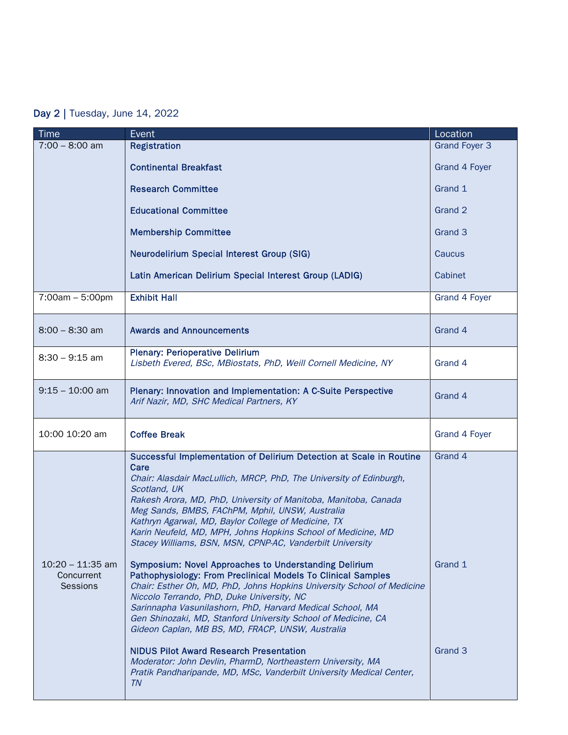## Day 2 | Tuesday, June 14, 2022

| <b>Time</b>                                  | Event                                                                                                                                                                                                                                                                                                                                                                                                                                                                                                                                                                                                                                                                                                                                                                                                                                                                                                                                                                                                                                                                                                                        | Location                      |
|----------------------------------------------|------------------------------------------------------------------------------------------------------------------------------------------------------------------------------------------------------------------------------------------------------------------------------------------------------------------------------------------------------------------------------------------------------------------------------------------------------------------------------------------------------------------------------------------------------------------------------------------------------------------------------------------------------------------------------------------------------------------------------------------------------------------------------------------------------------------------------------------------------------------------------------------------------------------------------------------------------------------------------------------------------------------------------------------------------------------------------------------------------------------------------|-------------------------------|
| $7:00 - 8:00$ am                             | <b>Registration</b>                                                                                                                                                                                                                                                                                                                                                                                                                                                                                                                                                                                                                                                                                                                                                                                                                                                                                                                                                                                                                                                                                                          | <b>Grand Foyer 3</b>          |
|                                              | <b>Continental Breakfast</b>                                                                                                                                                                                                                                                                                                                                                                                                                                                                                                                                                                                                                                                                                                                                                                                                                                                                                                                                                                                                                                                                                                 | Grand 4 Foyer                 |
|                                              | <b>Research Committee</b>                                                                                                                                                                                                                                                                                                                                                                                                                                                                                                                                                                                                                                                                                                                                                                                                                                                                                                                                                                                                                                                                                                    | Grand 1                       |
|                                              | <b>Educational Committee</b>                                                                                                                                                                                                                                                                                                                                                                                                                                                                                                                                                                                                                                                                                                                                                                                                                                                                                                                                                                                                                                                                                                 | Grand 2                       |
|                                              | <b>Membership Committee</b>                                                                                                                                                                                                                                                                                                                                                                                                                                                                                                                                                                                                                                                                                                                                                                                                                                                                                                                                                                                                                                                                                                  | Grand 3                       |
|                                              | <b>Neurodelirium Special Interest Group (SIG)</b>                                                                                                                                                                                                                                                                                                                                                                                                                                                                                                                                                                                                                                                                                                                                                                                                                                                                                                                                                                                                                                                                            | Caucus                        |
|                                              | Latin American Delirium Special Interest Group (LADIG)                                                                                                                                                                                                                                                                                                                                                                                                                                                                                                                                                                                                                                                                                                                                                                                                                                                                                                                                                                                                                                                                       | Cabinet                       |
| $7:00am - 5:00pm$                            | <b>Exhibit Hall</b>                                                                                                                                                                                                                                                                                                                                                                                                                                                                                                                                                                                                                                                                                                                                                                                                                                                                                                                                                                                                                                                                                                          | Grand 4 Foyer                 |
| $8:00 - 8:30$ am                             | <b>Awards and Announcements</b>                                                                                                                                                                                                                                                                                                                                                                                                                                                                                                                                                                                                                                                                                                                                                                                                                                                                                                                                                                                                                                                                                              | Grand 4                       |
| $8:30 - 9:15$ am                             | <b>Plenary: Perioperative Delirium</b><br>Lisbeth Evered, BSc, MBiostats, PhD, Weill Cornell Medicine, NY                                                                                                                                                                                                                                                                                                                                                                                                                                                                                                                                                                                                                                                                                                                                                                                                                                                                                                                                                                                                                    | Grand 4                       |
| $9:15 - 10:00$ am                            | Plenary: Innovation and Implementation: A C-Suite Perspective<br>Arif Nazir, MD, SHC Medical Partners, KY                                                                                                                                                                                                                                                                                                                                                                                                                                                                                                                                                                                                                                                                                                                                                                                                                                                                                                                                                                                                                    | Grand 4                       |
| 10:00 10:20 am                               | <b>Coffee Break</b>                                                                                                                                                                                                                                                                                                                                                                                                                                                                                                                                                                                                                                                                                                                                                                                                                                                                                                                                                                                                                                                                                                          | Grand 4 Foyer                 |
| $10:20 - 11:35$ am<br>Concurrent<br>Sessions | Successful Implementation of Delirium Detection at Scale in Routine<br>Care<br>Chair: Alasdair MacLullich, MRCP, PhD, The University of Edinburgh,<br>Scotland, UK<br>Rakesh Arora, MD, PhD, University of Manitoba, Manitoba, Canada<br>Meg Sands, BMBS, FAChPM, Mphil, UNSW, Australia<br>Kathryn Agarwal, MD, Baylor College of Medicine, TX<br>Karin Neufeld, MD, MPH, Johns Hopkins School of Medicine, MD<br>Stacey Williams, BSN, MSN, CPNP-AC, Vanderbilt University<br><b>Symposium: Novel Approaches to Understanding Delirium</b><br>Pathophysiology: From Preclinical Models To Clinical Samples<br>Chair: Esther Oh, MD, PhD, Johns Hopkins University School of Medicine<br>Niccolo Terrando, PhD, Duke University, NC<br>Sarinnapha Vasunilashorn, PhD, Harvard Medical School, MA<br>Gen Shinozaki, MD, Stanford University School of Medicine, CA<br>Gideon Caplan, MB BS, MD, FRACP, UNSW, Australia<br><b>NIDUS Pilot Award Research Presentation</b><br>Moderator: John Devlin, PharmD, Northeastern University, MA<br>Pratik Pandharipande, MD, MSc, Vanderbilt University Medical Center,<br><b>TN</b> | Grand 4<br>Grand 1<br>Grand 3 |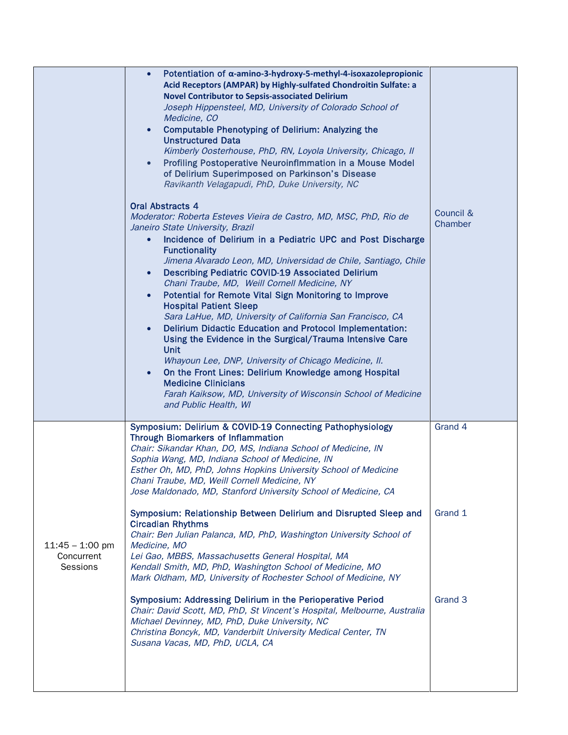|                                             | Potentiation of $\alpha$ -amino-3-hydroxy-5-methyl-4-isoxazole propionic<br>$\bullet$<br>Acid Receptors (AMPAR) by Highly-sulfated Chondroitin Sulfate: a<br><b>Novel Contributor to Sepsis-associated Delirium</b><br>Joseph Hippensteel, MD, University of Colorado School of<br>Medicine, CO<br><b>Computable Phenotyping of Delirium: Analyzing the</b><br>$\bullet$                                                                                                                                                                                                                                                                                                                                                                                                                                                                                                                                                                                                                      |                      |
|---------------------------------------------|-----------------------------------------------------------------------------------------------------------------------------------------------------------------------------------------------------------------------------------------------------------------------------------------------------------------------------------------------------------------------------------------------------------------------------------------------------------------------------------------------------------------------------------------------------------------------------------------------------------------------------------------------------------------------------------------------------------------------------------------------------------------------------------------------------------------------------------------------------------------------------------------------------------------------------------------------------------------------------------------------|----------------------|
|                                             | <b>Unstructured Data</b><br>Kimberly Oosterhouse, PhD, RN, Loyola University, Chicago, II<br>Profiling Postoperative Neuroinflmmation in a Mouse Model<br>of Delirium Superimposed on Parkinson's Disease<br>Ravikanth Velagapudi, PhD, Duke University, NC                                                                                                                                                                                                                                                                                                                                                                                                                                                                                                                                                                                                                                                                                                                                   |                      |
|                                             | <b>Oral Abstracts 4</b><br>Moderator: Roberta Esteves Vieira de Castro, MD, MSC, PhD, Rio de<br>Janeiro State University, Brazil<br>Incidence of Delirium in a Pediatric UPC and Post Discharge<br>$\bullet$<br><b>Functionality</b><br>Jimena Alvarado Leon, MD, Universidad de Chile, Santiago, Chile<br><b>Describing Pediatric COVID-19 Associated Delirium</b><br>$\bullet$<br>Chani Traube, MD, Weill Cornell Medicine, NY<br>Potential for Remote Vital Sign Monitoring to Improve<br>$\bullet$<br><b>Hospital Patient Sleep</b><br>Sara LaHue, MD, University of California San Francisco, CA<br><b>Delirium Didactic Education and Protocol Implementation:</b><br>Using the Evidence in the Surgical/Trauma Intensive Care<br><b>Unit</b><br>Whayoun Lee, DNP, University of Chicago Medicine, II.<br>On the Front Lines: Delirium Knowledge among Hospital<br><b>Medicine Clinicians</b><br>Farah Kaiksow, MD, University of Wisconsin School of Medicine<br>and Public Health, WI | Council &<br>Chamber |
|                                             | Symposium: Delirium & COVID-19 Connecting Pathophysiology<br><b>Through Biomarkers of Inflammation</b><br>Chair: Sikandar Khan, DO, MS, Indiana School of Medicine, IN<br>Sophia Wang, MD, Indiana School of Medicine, IN<br>Esther Oh, MD, PhD, Johns Hopkins University School of Medicine<br>Chani Traube, MD, Weill Cornell Medicine, NY<br>Jose Maldonado, MD, Stanford University School of Medicine, CA                                                                                                                                                                                                                                                                                                                                                                                                                                                                                                                                                                                | Grand 4              |
| $11:45 - 1:00$ pm<br>Concurrent<br>Sessions | Symposium: Relationship Between Delirium and Disrupted Sleep and<br><b>Circadian Rhythms</b><br>Chair: Ben Julian Palanca, MD, PhD, Washington University School of<br>Medicine, MO<br>Lei Gao, MBBS, Massachusetts General Hospital, MA<br>Kendall Smith, MD, PhD, Washington School of Medicine, MO<br>Mark Oldham, MD, University of Rochester School of Medicine, NY                                                                                                                                                                                                                                                                                                                                                                                                                                                                                                                                                                                                                      | Grand 1              |
|                                             | Symposium: Addressing Delirium in the Perioperative Period<br>Chair: David Scott, MD, PhD, St Vincent's Hospital, Melbourne, Australia<br>Michael Devinney, MD, PhD, Duke University, NC<br>Christina Boncyk, MD, Vanderbilt University Medical Center, TN<br>Susana Vacas, MD, PhD, UCLA, CA                                                                                                                                                                                                                                                                                                                                                                                                                                                                                                                                                                                                                                                                                                 | Grand 3              |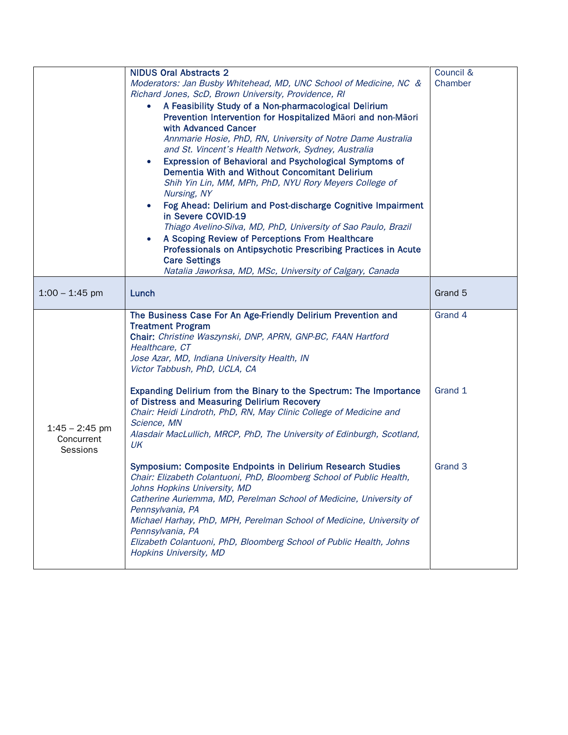|                                | <b>NIDUS Oral Abstracts 2</b>                                                                                     | Council & |
|--------------------------------|-------------------------------------------------------------------------------------------------------------------|-----------|
|                                | Moderators: Jan Busby Whitehead, MD, UNC School of Medicine, NC &                                                 | Chamber   |
|                                | Richard Jones, ScD, Brown University, Providence, RI                                                              |           |
|                                | A Feasibility Study of a Non-pharmacological Delirium                                                             |           |
|                                | Prevention Intervention for Hospitalized Maori and non-Maori                                                      |           |
|                                | with Advanced Cancer                                                                                              |           |
|                                | Annmarie Hosie, PhD, RN, University of Notre Dame Australia                                                       |           |
|                                | and St. Vincent's Health Network, Sydney, Australia                                                               |           |
|                                | Expression of Behavioral and Psychological Symptoms of<br>$\bullet$                                               |           |
|                                | Dementia With and Without Concomitant Delirium                                                                    |           |
|                                | Shih Yin Lin, MM, MPh, PhD, NYU Rory Meyers College of                                                            |           |
|                                | Nursing, NY                                                                                                       |           |
|                                | Fog Ahead: Delirium and Post-discharge Cognitive Impairment                                                       |           |
|                                | in Severe COVID-19                                                                                                |           |
|                                | Thiago Avelino-Silva, MD, PhD, University of Sao Paulo, Brazil<br>A Scoping Review of Perceptions From Healthcare |           |
|                                | Professionals on Antipsychotic Prescribing Practices in Acute                                                     |           |
|                                | <b>Care Settings</b>                                                                                              |           |
|                                | Natalia Jaworksa, MD, MSc, University of Calgary, Canada                                                          |           |
|                                |                                                                                                                   |           |
| $1:00 - 1:45$ pm               | Lunch                                                                                                             | Grand 5   |
|                                |                                                                                                                   |           |
|                                | The Business Case For An Age-Friendly Delirium Prevention and                                                     | Grand 4   |
|                                | <b>Treatment Program</b>                                                                                          |           |
|                                |                                                                                                                   |           |
|                                | Chair: Christine Waszynski, DNP, APRN, GNP-BC, FAAN Hartford                                                      |           |
|                                | Healthcare, CT                                                                                                    |           |
|                                | Jose Azar, MD, Indiana University Health, IN                                                                      |           |
|                                | Victor Tabbush, PhD, UCLA, CA                                                                                     |           |
|                                | Expanding Delirium from the Binary to the Spectrum: The Importance                                                | Grand 1   |
|                                | of Distress and Measuring Delirium Recovery                                                                       |           |
|                                | Chair: Heidi Lindroth, PhD, RN, May Clinic College of Medicine and                                                |           |
|                                | Science, MN                                                                                                       |           |
| $1:45 - 2:45$ pm<br>Concurrent | Alasdair MacLullich, MRCP, PhD, The University of Edinburgh, Scotland,                                            |           |
| Sessions                       | UK                                                                                                                |           |
|                                |                                                                                                                   |           |
|                                | Symposium: Composite Endpoints in Delirium Research Studies                                                       | Grand 3   |
|                                | Chair: Elizabeth Colantuoni, PhD, Bloomberg School of Public Health,                                              |           |
|                                | Johns Hopkins University, MD                                                                                      |           |
|                                | Catherine Auriemma, MD, Perelman School of Medicine, University of<br>Pennsylvania, PA                            |           |
|                                | Michael Harhay, PhD, MPH, Perelman School of Medicine, University of                                              |           |
|                                | Pennsylvania, PA                                                                                                  |           |
|                                | Elizabeth Colantuoni, PhD, Bloomberg School of Public Health, Johns                                               |           |
|                                | Hopkins University, MD                                                                                            |           |